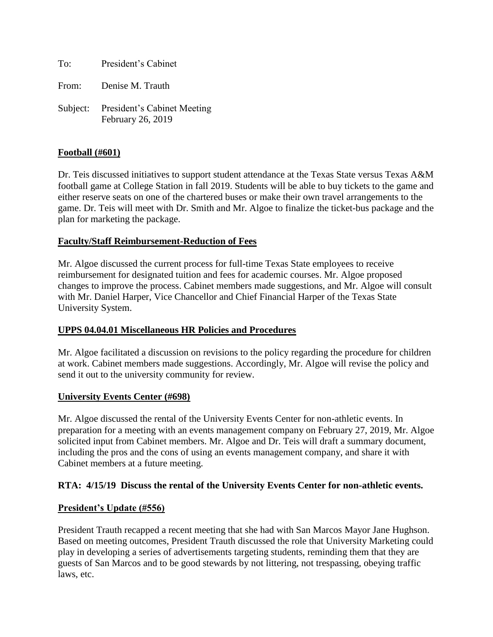| To: | President's Cabinet |  |
|-----|---------------------|--|
|     |                     |  |

From: Denise M. Trauth

Subject: President's Cabinet Meeting February 26, 2019

## **Football (#601)**

Dr. Teis discussed initiatives to support student attendance at the Texas State versus Texas A&M football game at College Station in fall 2019. Students will be able to buy tickets to the game and either reserve seats on one of the chartered buses or make their own travel arrangements to the game. Dr. Teis will meet with Dr. Smith and Mr. Algoe to finalize the ticket-bus package and the plan for marketing the package.

## **Faculty/Staff Reimbursement-Reduction of Fees**

Mr. Algoe discussed the current process for full-time Texas State employees to receive reimbursement for designated tuition and fees for academic courses. Mr. Algoe proposed changes to improve the process. Cabinet members made suggestions, and Mr. Algoe will consult with Mr. Daniel Harper, Vice Chancellor and Chief Financial Harper of the Texas State University System.

#### **UPPS 04.04.01 Miscellaneous HR Policies and Procedures**

Mr. Algoe facilitated a discussion on revisions to the policy regarding the procedure for children at work. Cabinet members made suggestions. Accordingly, Mr. Algoe will revise the policy and send it out to the university community for review.

#### **University Events Center (#698)**

Mr. Algoe discussed the rental of the University Events Center for non-athletic events. In preparation for a meeting with an events management company on February 27, 2019, Mr. Algoe solicited input from Cabinet members. Mr. Algoe and Dr. Teis will draft a summary document, including the pros and the cons of using an events management company, and share it with Cabinet members at a future meeting.

#### **RTA: 4/15/19 Discuss the rental of the University Events Center for non-athletic events.**

#### **President's Update (#556)**

President Trauth recapped a recent meeting that she had with San Marcos Mayor Jane Hughson. Based on meeting outcomes, President Trauth discussed the role that University Marketing could play in developing a series of advertisements targeting students, reminding them that they are guests of San Marcos and to be good stewards by not littering, not trespassing, obeying traffic laws, etc.